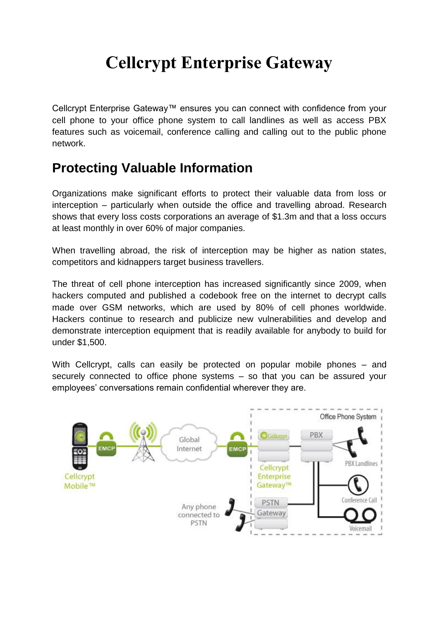## **Cellcrypt Enterprise Gateway**

Cellcrypt Enterprise Gateway™ ensures you can connect with confidence from your cell phone to your office phone system to call landlines as well as access PBX features such as voicemail, conference calling and calling out to the public phone network.

## **Protecting Valuable Information**

Organizations make significant efforts to protect their valuable data from loss or interception – particularly when outside the office and travelling abroad. Research shows that every loss costs corporations an average of \$1.3m and that a loss occurs at least monthly in over 60% of major companies.

When travelling abroad, the risk of interception may be higher as nation states, competitors and kidnappers target business travellers.

The threat of cell phone interception has increased significantly since 2009, when hackers computed and published a codebook free on the internet to decrypt calls made over GSM networks, which are used by 80% of cell phones worldwide. Hackers continue to research and publicize new vulnerabilities and develop and demonstrate interception equipment that is readily available for anybody to build for under \$1,500.

With Cellcrypt, calls can easily be protected on popular mobile phones – and securely connected to office phone systems – so that you can be assured your employees' conversations remain confidential wherever they are.